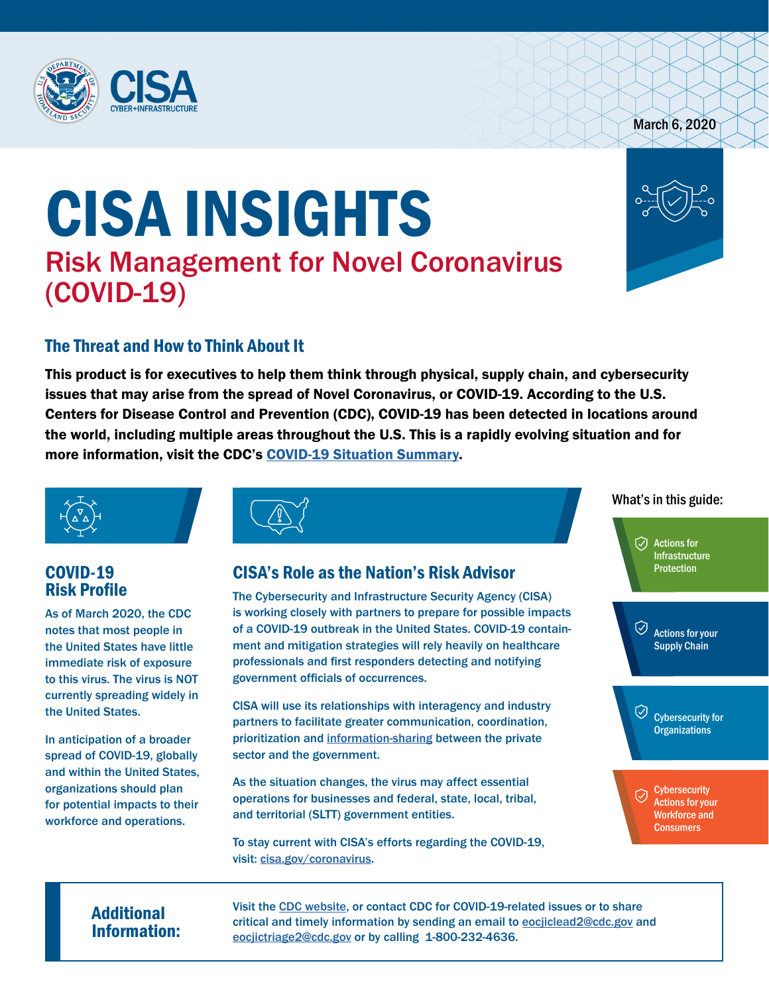

# March 6, 2020

# CISA INSIGHTS Risk Management for Novel Coronavirus (COVID-19)



# The Threat and How to Think About It

This product is for executives to help them think through physical, supply chain, and cybersecurity issues that may arise from the spread of Novel Coronavirus, or COVID-19. According to the U.S. Centers for Disease Control and Prevention (CDC), COVID-19 has been detected in locations around the world, including multiple areas throughout the U.S. This is a rapidly evolving situation and for more information, visit the CDC's [COVID-19 Situation Summary](https://www.cdc.gov/coronavirus/2019-ncov/summary.html).



# COVID-19 Risk Profile

As of March 2020, the CDC notes that most people in the United States have little immediate risk of exposure to this virus. The virus is NOT currently spreading widely in the United States.

In anticipation of a broader spread of COVID-19, globally and within the United States, organizations should plan for potential impacts to their workforce and operations.

# CISA's Role as the Nation's Risk Advisor

The Cybersecurity and Infrastructure Security Agency (CISA) is working closely with partners to prepare for possible impacts of a COVID-19 outbreak in the United States. COVID-19 containment and mitigation strategies will rely heavily on healthcare professionals and first responders detecting and notifying government officials of occurrences.

CISA will use its relationships with interagency and industry partners to facilitate greater communication, coordination, prioritization and [information-sharing](https://www.cisa.gov/information-sharing-vital-resource) between the private sector and the government.

As the situation changes, the virus may affect essential operations for businesses and federal, state, local, tribal, and territorial (SLTT) government entities.

To stay current with CISA's efforts regarding the COVID-19, visit: [cisa.gov/coronavirus.](https://www.cisa.gov/coronavirus)

### What's in this guide:

 $\overline{\odot}$  Actions for **Infrastructure** Protection

Actions for your Supply Chain

 $\oslash$  Cybersecurity for **Organizations** 

**Cybersecurity** ♡ Actions for your Workforce and **Consumers** 

Additional Visit the [CDC website,](https://www.cdc.gov/coronavirus/2019-ncov/index.html) or contact CDC for COVID-19-related issues or to share<br>
Information: exclusive contact CDC for contact and timely information by sending an email to <u>eocjiclead2@cdc.gov</u> and<br>
Information: critical and timely information by sending an email to eocjiclead2@cdc.gov and eocjictriage2@cdc.gov or by calling 1-800-232-4636.